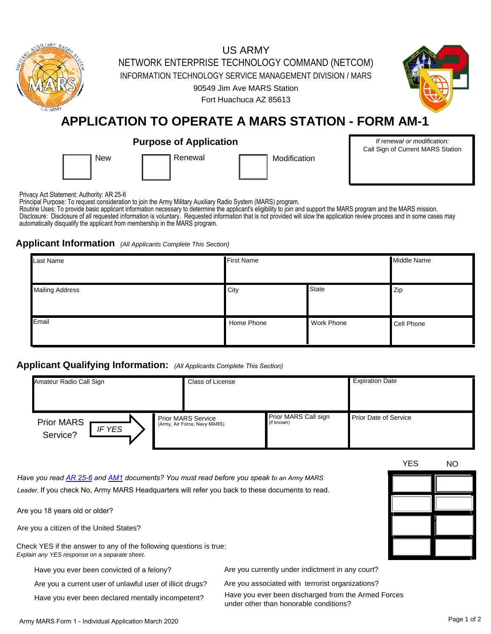

Privacy Act Statement: Authority: AR 25-6

Principal Purpose: To request consideration to join the Army Military Auxiliary Radio System (MARS) program.

Routine Uses: To provide basic applicant information necessary to determine the applicant's eligibility to join and support the MARS program and the MARS mission. Disclosure: Disclosure of all requested information is voluntary. Requested information that is not provided will slow the application review process and in some cases may automatically disqualify the applicant from membership in the MARS program.

# **Applicant Information** *(All Applicants Complete This Section)*

| Last Name              | <b>First Name</b> | Middle Name       |            |
|------------------------|-------------------|-------------------|------------|
| <b>Mailing Address</b> | City              | <b>State</b>      | Zip        |
| Email                  | Home Phone        | <b>Work Phone</b> | Cell Phone |

# **Applicant Qualifying Information:** *(All Applicants Complete This Section)*

| Amateur Radio Call Sign                        |  | <b>Class of License</b>                                   |                                    | <b>Expiration Date</b>       |  |
|------------------------------------------------|--|-----------------------------------------------------------|------------------------------------|------------------------------|--|
| <b>Prior MARS</b><br><b>IF YES</b><br>Service? |  | <b>Prior MARS Service</b><br>(Army, Air Force, Navy MARS) | Prior MARS Call sign<br>(if known) | <b>Prior Date of Service</b> |  |

*Have you read [AR 25-6 a](https://drive.google.com/file/d/1Ay0heBTAFmUZTvksRlUWEQgniSdboQFc/view?usp=sharing)nd [AM1](https://drive.google.com/file/d/1JJmA80NNzYBg4oHoKEJy8kgTLleBJ75F/view?usp=sharing) documents? You must read before you speak to an Army MARS Leader.* If you check No, Army MARS Headquarters will refer you back to these documents to read.

Are you 18 years old or older?

Are you a citizen of the United States?

Check YES if the answer to any of the following questions is true: *Explain any YES response on a separate sheet.*

Have you ever been convicted of a felony?

Are you a current user of unlawful user of illicit drugs?

Have you ever been declared mentally incompetent?

Are you currently under indictment in any court?

Are you associated with terrorist organizations?

Have you ever been discharged from the Armed Forces under other than honorable conditions?

YES NO